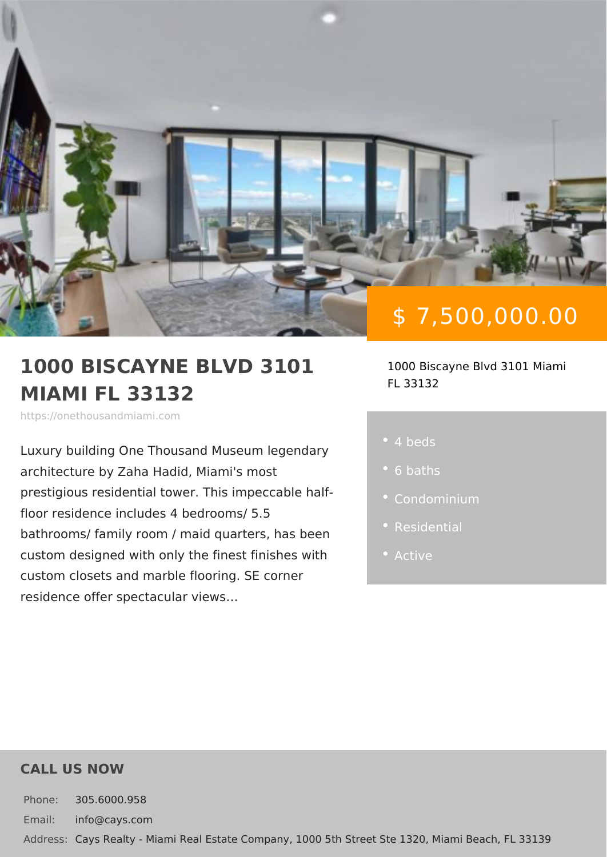# \$ 7,500,000.00

#### 1000 BISCAYNE BLVD 31011000 Biscayne Blvd 3101 M MIAMI FL 33132 FL 33132

https://onethousandmiami.com

Luxury building One Thousand Museum architecture by Zaha Hadid, Miami's mo prestigious residential tower. This impe floor residence includes 4 bedrooms/ 5. bathrooms/ family room / maid quarters custom designed with only the finest finest octive custom closets and marble flooring. SE residence offer spectacular views &

4 beds

- 6 baths
- 
- 
- 

### CALL US NOW

Phone: 305.6000.958 Email: info@cays.com Addres Cays Realty - Miami Real Estate Company, 1000 5th Street Ste 1320, Mia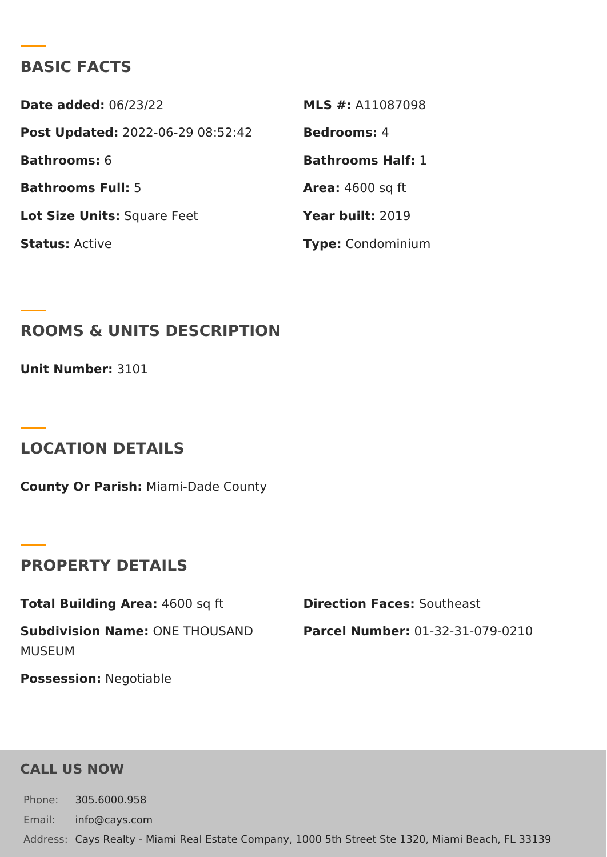### BASIC FACTS

Date added: 6/23/22 MLS #: A11087098 Post Update @022-06-29 08:52:42Bedrooms4 Bathrooms6 Bathrooms Half: Bathrooms Fu5I: Area: 4600 sq ft Lot Size Unifsquare Feet Year buil 2:019 StatusActive Type Condominium

ROOMS & UNITS DESCRIPTION

Unit  $Number: 101$ 

LOCATION DETAILS

County Or Paris/liami-Dade County

PROPERTY DETAILS

Total Building Ar4e&a00 sq ft Direction FaceSsocutheast

Subdivision NamOeNE THOUSAND Parcel NumbeOr1-32-31-079-0210 MUSEUM

PossessionN: egotiable

CALL US NOW

Phone: 305.6000.958 Email: info@cays.com Addres Cays Realty - Miami Real Estate Company, 1000 5th Street Ste 1320, Mia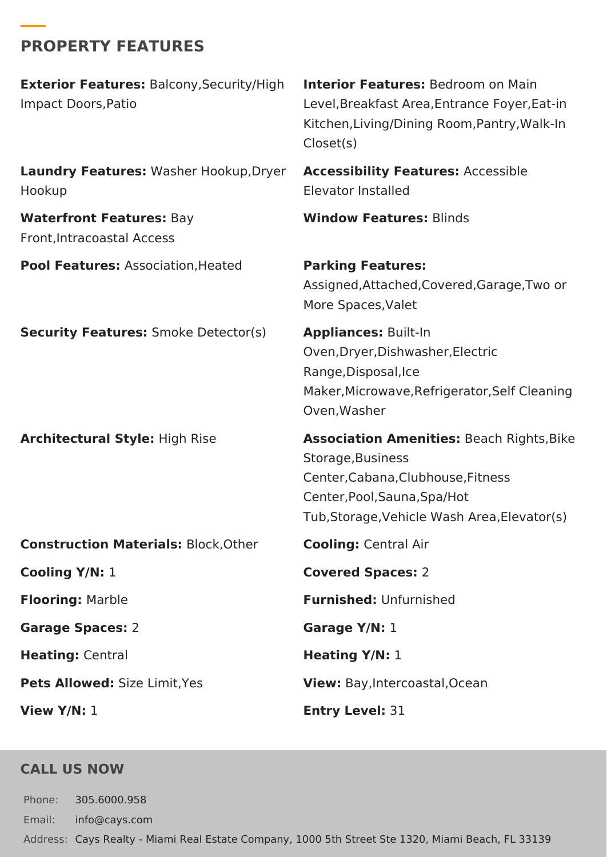# **PROPERTY FEATURES**

| <b>Exterior Features: Balcony, Security/High</b><br>Impact Doors, Patio | <b>Interior Features:</b> Bedroom on Main<br>Level, Breakfast Area, Entrance Foyer, Eat-in<br>Kitchen, Living/Dining Room, Pantry, Walk-In<br>Closet(s)                                     |
|-------------------------------------------------------------------------|---------------------------------------------------------------------------------------------------------------------------------------------------------------------------------------------|
| Laundry Features: Washer Hookup, Dryer<br>Hookup                        | <b>Accessibility Features: Accessible</b><br>Elevator Installed                                                                                                                             |
| <b>Waterfront Features: Bay</b><br>Front, Intracoastal Access           | <b>Window Features: Blinds</b>                                                                                                                                                              |
| <b>Pool Features: Association, Heated</b>                               | <b>Parking Features:</b><br>Assigned, Attached, Covered, Garage, Two or<br>More Spaces, Valet                                                                                               |
| <b>Security Features: Smoke Detector(s)</b>                             | <b>Appliances: Built-In</b><br>Oven, Dryer, Dishwasher, Electric<br>Range, Disposal, Ice<br>Maker, Microwave, Refrigerator, Self Cleaning<br>Oven, Washer                                   |
| <b>Architectural Style: High Rise</b>                                   | <b>Association Amenities: Beach Rights, Bike</b><br>Storage, Business<br>Center, Cabana, Clubhouse, Fitness<br>Center, Pool, Sauna, Spa/Hot<br>Tub, Storage, Vehicle Wash Area, Elevator(s) |
| <b>Construction Materials: Block, Other</b>                             | <b>Cooling: Central Air</b>                                                                                                                                                                 |
| Cooling Y/N: 1                                                          | <b>Covered Spaces: 2</b>                                                                                                                                                                    |
| <b>Flooring: Marble</b>                                                 | <b>Furnished: Unfurnished</b>                                                                                                                                                               |
| <b>Garage Spaces: 2</b>                                                 | Garage Y/N: 1                                                                                                                                                                               |
| Heating: Central                                                        | Heating Y/N: 1                                                                                                                                                                              |
| Pets Allowed: Size Limit, Yes                                           | View: Bay, Intercoastal, Ocean                                                                                                                                                              |
| View $Y/N: 1$                                                           | <b>Entry Level: 31</b>                                                                                                                                                                      |

## **CALL US NOW**

Phone: 305.6000.958 Email: info@cays.com Address: Cays Realty - Miami Real Estate Company, 1000 5th Street Ste 1320, Miami Beach, FL 33139